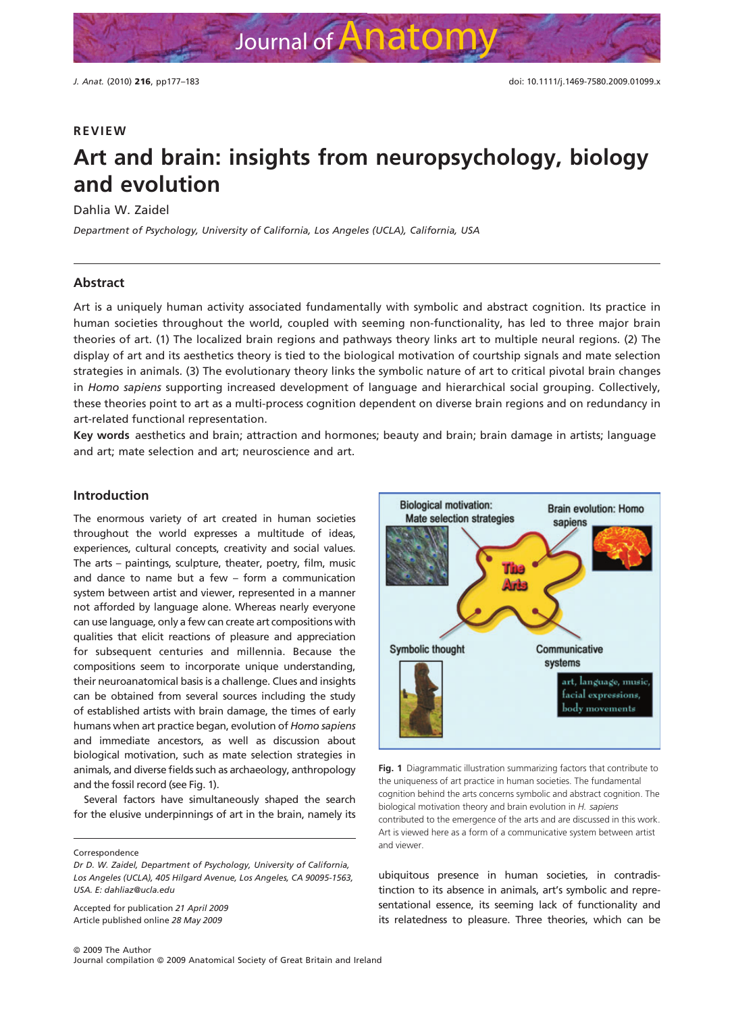# REVIEW

# Art and brain: insights from neuropsychology, biology and evolution

Journal of **Anatomy** 

Dahlia W. Zaidel

Department of Psychology, University of California, Los Angeles (UCLA), California, USA

## Abstract

Art is a uniquely human activity associated fundamentally with symbolic and abstract cognition. Its practice in human societies throughout the world, coupled with seeming non-functionality, has led to three major brain theories of art. (1) The localized brain regions and pathways theory links art to multiple neural regions. (2) The display of art and its aesthetics theory is tied to the biological motivation of courtship signals and mate selection strategies in animals. (3) The evolutionary theory links the symbolic nature of art to critical pivotal brain changes in Homo sapiens supporting increased development of language and hierarchical social grouping. Collectively, these theories point to art as a multi-process cognition dependent on diverse brain regions and on redundancy in art-related functional representation.

Key words aesthetics and brain; attraction and hormones; beauty and brain; brain damage in artists; language and art; mate selection and art; neuroscience and art.

## Introduction

The enormous variety of art created in human societies throughout the world expresses a multitude of ideas, experiences, cultural concepts, creativity and social values. The arts – paintings, sculpture, theater, poetry, film, music and dance to name but a few – form a communication system between artist and viewer, represented in a manner not afforded by language alone. Whereas nearly everyone can use language, only a few can create art compositions with qualities that elicit reactions of pleasure and appreciation for subsequent centuries and millennia. Because the compositions seem to incorporate unique understanding, their neuroanatomical basis is a challenge. Clues and insights can be obtained from several sources including the study of established artists with brain damage, the times of early humans when art practice began, evolution of Homo sapiens and immediate ancestors, as well as discussion about biological motivation, such as mate selection strategies in animals, and diverse fields such as archaeology, anthropology and the fossil record (see Fig. 1).

Several factors have simultaneously shaped the search for the elusive underpinnings of art in the brain, namely its

Correspondence



Fig. 1 Diagrammatic illustration summarizing factors that contribute to the uniqueness of art practice in human societies. The fundamental cognition behind the arts concerns symbolic and abstract cognition. The biological motivation theory and brain evolution in H. sapiens contributed to the emergence of the arts and are discussed in this work. Art is viewed here as a form of a communicative system between artist and viewer.

ubiquitous presence in human societies, in contradistinction to its absence in animals, art's symbolic and representational essence, its seeming lack of functionality and its relatedness to pleasure. Three theories, which can be

Dr D. W. Zaidel, Department of Psychology, University of California, Los Angeles (UCLA), 405 Hilgard Avenue, Los Angeles, CA 90095-1563, USA. E: dahliaz@ucla.edu

Accepted for publication 21 April 2009 Article published online 28 May 2009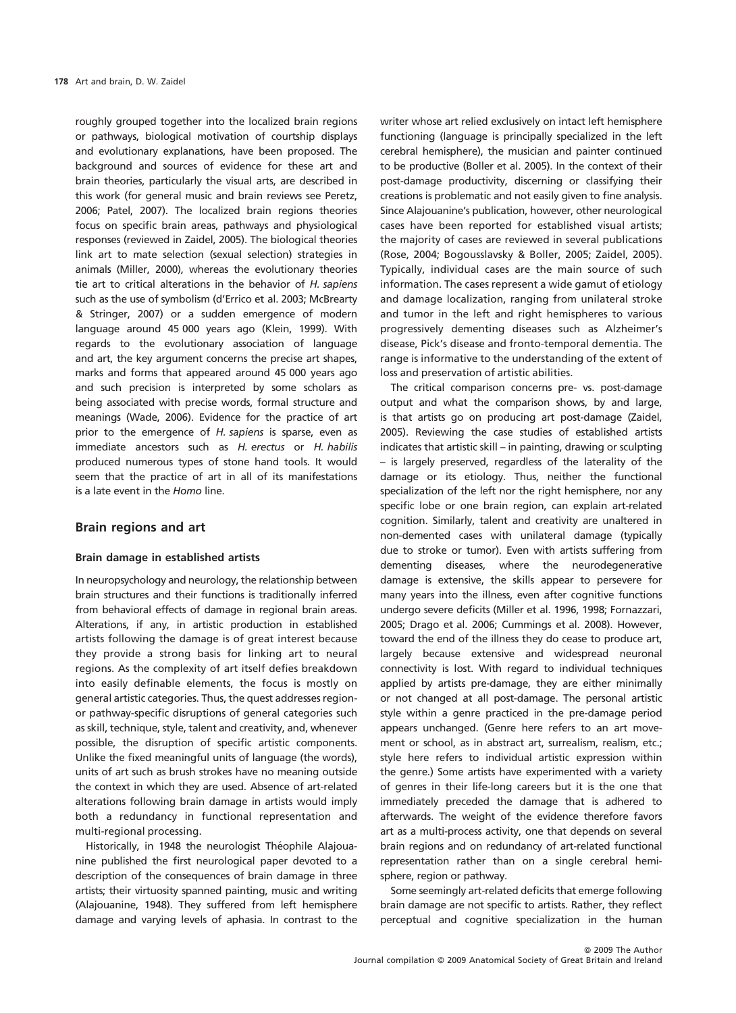roughly grouped together into the localized brain regions or pathways, biological motivation of courtship displays and evolutionary explanations, have been proposed. The background and sources of evidence for these art and brain theories, particularly the visual arts, are described in this work (for general music and brain reviews see Peretz, 2006; Patel, 2007). The localized brain regions theories focus on specific brain areas, pathways and physiological responses (reviewed in Zaidel, 2005). The biological theories link art to mate selection (sexual selection) strategies in animals (Miller, 2000), whereas the evolutionary theories tie art to critical alterations in the behavior of H. sapiens such as the use of symbolism (d'Errico et al. 2003; McBrearty & Stringer, 2007) or a sudden emergence of modern language around 45 000 years ago (Klein, 1999). With regards to the evolutionary association of language and art, the key argument concerns the precise art shapes, marks and forms that appeared around 45 000 years ago and such precision is interpreted by some scholars as being associated with precise words, formal structure and meanings (Wade, 2006). Evidence for the practice of art prior to the emergence of H. sapiens is sparse, even as immediate ancestors such as H. erectus or H. habilis produced numerous types of stone hand tools. It would seem that the practice of art in all of its manifestations is a late event in the Homo line.

## Brain regions and art

#### Brain damage in established artists

In neuropsychology and neurology, the relationship between brain structures and their functions is traditionally inferred from behavioral effects of damage in regional brain areas. Alterations, if any, in artistic production in established artists following the damage is of great interest because they provide a strong basis for linking art to neural regions. As the complexity of art itself defies breakdown into easily definable elements, the focus is mostly on general artistic categories. Thus, the quest addresses regionor pathway-specific disruptions of general categories such as skill, technique, style, talent and creativity, and, whenever possible, the disruption of specific artistic components. Unlike the fixed meaningful units of language (the words), units of art such as brush strokes have no meaning outside the context in which they are used. Absence of art-related alterations following brain damage in artists would imply both a redundancy in functional representation and multi-regional processing.

Historically, in 1948 the neurologist Théophile Alajouanine published the first neurological paper devoted to a description of the consequences of brain damage in three artists; their virtuosity spanned painting, music and writing (Alajouanine, 1948). They suffered from left hemisphere damage and varying levels of aphasia. In contrast to the writer whose art relied exclusively on intact left hemisphere functioning (language is principally specialized in the left cerebral hemisphere), the musician and painter continued to be productive (Boller et al. 2005). In the context of their post-damage productivity, discerning or classifying their creations is problematic and not easily given to fine analysis. Since Alajouanine's publication, however, other neurological cases have been reported for established visual artists; the majority of cases are reviewed in several publications (Rose, 2004; Bogousslavsky & Boller, 2005; Zaidel, 2005). Typically, individual cases are the main source of such information. The cases represent a wide gamut of etiology and damage localization, ranging from unilateral stroke and tumor in the left and right hemispheres to various progressively dementing diseases such as Alzheimer's disease, Pick's disease and fronto-temporal dementia. The range is informative to the understanding of the extent of loss and preservation of artistic abilities.

The critical comparison concerns pre- vs. post-damage output and what the comparison shows, by and large, is that artists go on producing art post-damage (Zaidel, 2005). Reviewing the case studies of established artists indicates that artistic skill – in painting, drawing or sculpting – is largely preserved, regardless of the laterality of the damage or its etiology. Thus, neither the functional specialization of the left nor the right hemisphere, nor any specific lobe or one brain region, can explain art-related cognition. Similarly, talent and creativity are unaltered in non-demented cases with unilateral damage (typically due to stroke or tumor). Even with artists suffering from dementing diseases, where the neurodegenerative damage is extensive, the skills appear to persevere for many years into the illness, even after cognitive functions undergo severe deficits (Miller et al. 1996, 1998; Fornazzari, 2005; Drago et al. 2006; Cummings et al. 2008). However, toward the end of the illness they do cease to produce art, largely because extensive and widespread neuronal connectivity is lost. With regard to individual techniques applied by artists pre-damage, they are either minimally or not changed at all post-damage. The personal artistic style within a genre practiced in the pre-damage period appears unchanged. (Genre here refers to an art movement or school, as in abstract art, surrealism, realism, etc.; style here refers to individual artistic expression within the genre.) Some artists have experimented with a variety of genres in their life-long careers but it is the one that immediately preceded the damage that is adhered to afterwards. The weight of the evidence therefore favors art as a multi-process activity, one that depends on several brain regions and on redundancy of art-related functional representation rather than on a single cerebral hemisphere, region or pathway.

Some seemingly art-related deficits that emerge following brain damage are not specific to artists. Rather, they reflect perceptual and cognitive specialization in the human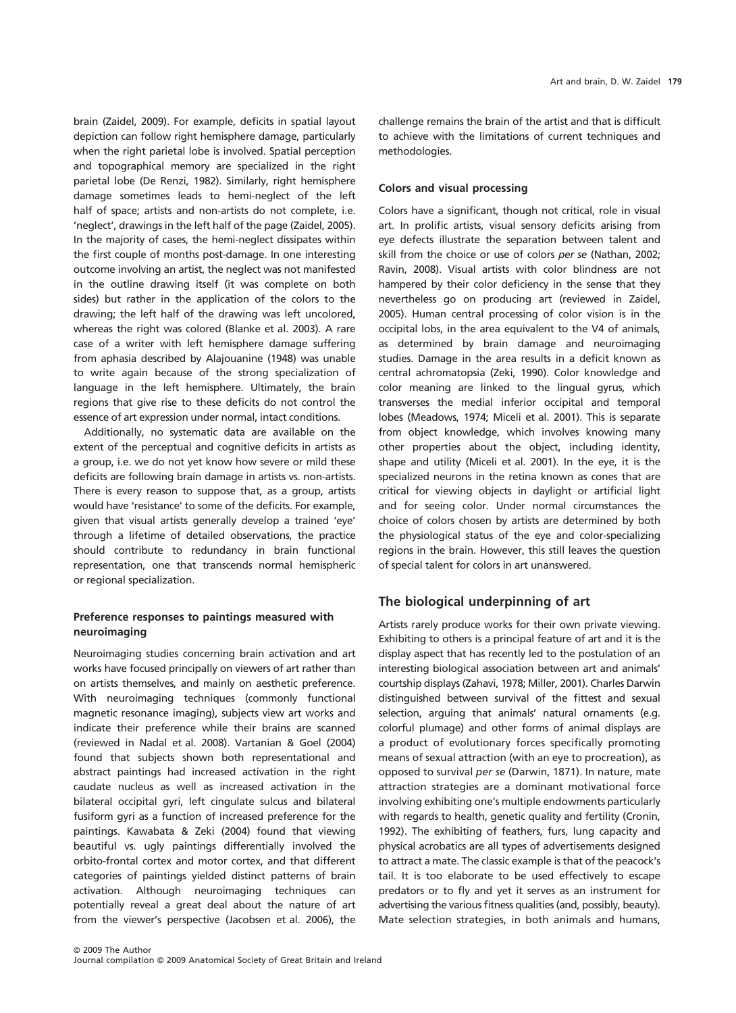brain (Zaidel, 2009). For example, deficits in spatial layout depiction can follow right hemisphere damage, particularly when the right parietal lobe is involved. Spatial perception and topographical memory are specialized in the right parietal lobe (De Renzi, 1982). Similarly, right hemisphere damage sometimes leads to hemi-neglect of the left half of space; artists and non-artists do not complete, i.e. 'neglect', drawings in the left half of the page (Zaidel, 2005). In the majority of cases, the hemi-neglect dissipates within the first couple of months post-damage. In one interesting outcome involving an artist, the neglect was not manifested in the outline drawing itself (it was complete on both sides) but rather in the application of the colors to the drawing; the left half of the drawing was left uncolored, whereas the right was colored (Blanke et al. 2003). A rare case of a writer with left hemisphere damage suffering from aphasia described by Alajouanine (1948) was unable to write again because of the strong specialization of language in the left hemisphere. Ultimately, the brain regions that give rise to these deficits do not control the essence of art expression under normal, intact conditions.

Additionally, no systematic data are available on the extent of the perceptual and cognitive deficits in artists as a group, i.e. we do not yet know how severe or mild these deficits are following brain damage in artists vs. non-artists. There is every reason to suppose that, as a group, artists would have 'resistance' to some of the deficits. For example, given that visual artists generally develop a trained 'eye' through a lifetime of detailed observations, the practice should contribute to redundancy in brain functional representation, one that transcends normal hemispheric or regional specialization.

## Preference responses to paintings measured with neuroimaging

Neuroimaging studies concerning brain activation and art works have focused principally on viewers of art rather than on artists themselves, and mainly on aesthetic preference. With neuroimaging techniques (commonly functional magnetic resonance imaging), subjects view art works and indicate their preference while their brains are scanned (reviewed in Nadal et al. 2008). Vartanian & Goel (2004) found that subjects shown both representational and abstract paintings had increased activation in the right caudate nucleus as well as increased activation in the bilateral occipital gyri, left cingulate sulcus and bilateral fusiform gyri as a function of increased preference for the paintings. Kawabata & Zeki (2004) found that viewing beautiful vs. ugly paintings differentially involved the orbito-frontal cortex and motor cortex, and that different categories of paintings yielded distinct patterns of brain activation. Although neuroimaging techniques can potentially reveal a great deal about the nature of art from the viewer's perspective (Jacobsen et al. 2006), the

challenge remains the brain of the artist and that is difficult to achieve with the limitations of current techniques and methodologies.

#### Colors and visual processing

Colors have a significant, though not critical, role in visual art. In prolific artists, visual sensory deficits arising from eye defects illustrate the separation between talent and skill from the choice or use of colors per se (Nathan, 2002; Ravin, 2008). Visual artists with color blindness are not hampered by their color deficiency in the sense that they nevertheless go on producing art (reviewed in Zaidel, 2005). Human central processing of color vision is in the occipital lobs, in the area equivalent to the V4 of animals, as determined by brain damage and neuroimaging studies. Damage in the area results in a deficit known as central achromatopsia (Zeki, 1990). Color knowledge and color meaning are linked to the lingual gyrus, which transverses the medial inferior occipital and temporal lobes (Meadows, 1974; Miceli et al. 2001). This is separate from object knowledge, which involves knowing many other properties about the object, including identity, shape and utility (Miceli et al. 2001). In the eye, it is the specialized neurons in the retina known as cones that are critical for viewing objects in daylight or artificial light and for seeing color. Under normal circumstances the choice of colors chosen by artists are determined by both the physiological status of the eye and color-specializing regions in the brain. However, this still leaves the question of special talent for colors in art unanswered.

## The biological underpinning of art

Artists rarely produce works for their own private viewing. Exhibiting to others is a principal feature of art and it is the display aspect that has recently led to the postulation of an interesting biological association between art and animals' courtship displays (Zahavi, 1978; Miller, 2001). Charles Darwin distinguished between survival of the fittest and sexual selection, arguing that animals' natural ornaments (e.g. colorful plumage) and other forms of animal displays are a product of evolutionary forces specifically promoting means of sexual attraction (with an eye to procreation), as opposed to survival per se (Darwin, 1871). In nature, mate attraction strategies are a dominant motivational force involving exhibiting one's multiple endowments particularly with regards to health, genetic quality and fertility (Cronin, 1992). The exhibiting of feathers, furs, lung capacity and physical acrobatics are all types of advertisements designed to attract a mate. The classic example is that of the peacock's tail. It is too elaborate to be used effectively to escape predators or to fly and yet it serves as an instrument for advertising the various fitness qualities (and, possibly, beauty). Mate selection strategies, in both animals and humans,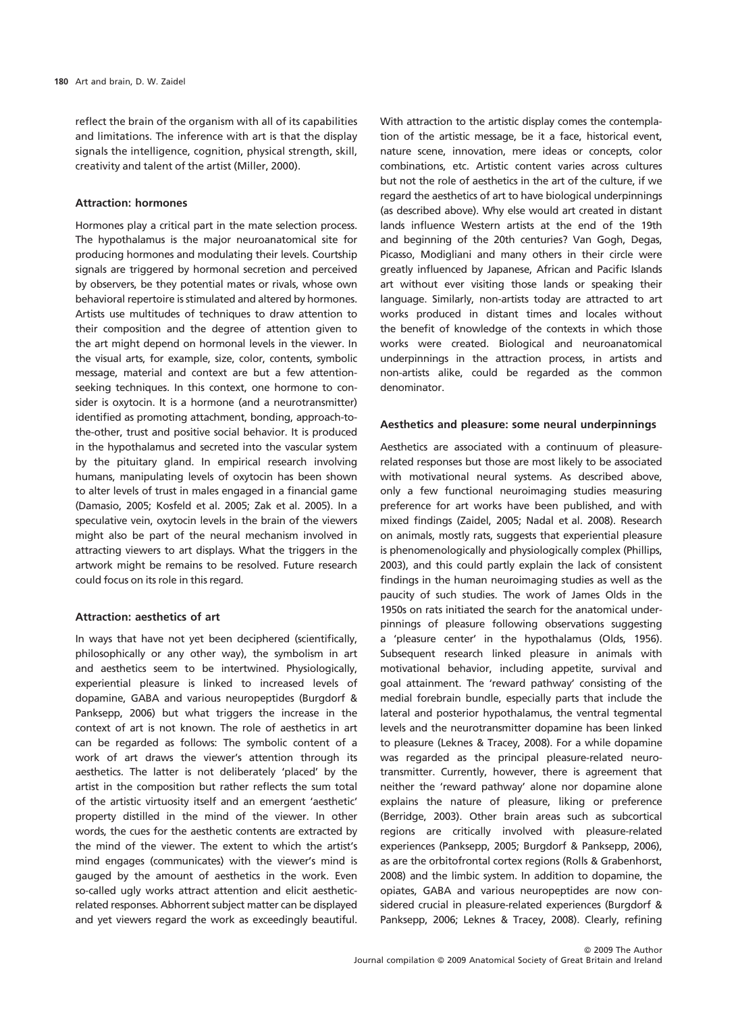reflect the brain of the organism with all of its capabilities and limitations. The inference with art is that the display signals the intelligence, cognition, physical strength, skill, creativity and talent of the artist (Miller, 2000).

#### Attraction: hormones

Hormones play a critical part in the mate selection process. The hypothalamus is the major neuroanatomical site for producing hormones and modulating their levels. Courtship signals are triggered by hormonal secretion and perceived by observers, be they potential mates or rivals, whose own behavioral repertoire is stimulated and altered by hormones. Artists use multitudes of techniques to draw attention to their composition and the degree of attention given to the art might depend on hormonal levels in the viewer. In the visual arts, for example, size, color, contents, symbolic message, material and context are but a few attentionseeking techniques. In this context, one hormone to consider is oxytocin. It is a hormone (and a neurotransmitter) identified as promoting attachment, bonding, approach-tothe-other, trust and positive social behavior. It is produced in the hypothalamus and secreted into the vascular system by the pituitary gland. In empirical research involving humans, manipulating levels of oxytocin has been shown to alter levels of trust in males engaged in a financial game (Damasio, 2005; Kosfeld et al. 2005; Zak et al. 2005). In a speculative vein, oxytocin levels in the brain of the viewers might also be part of the neural mechanism involved in attracting viewers to art displays. What the triggers in the artwork might be remains to be resolved. Future research could focus on its role in this regard.

#### Attraction: aesthetics of art

In ways that have not yet been deciphered (scientifically, philosophically or any other way), the symbolism in art and aesthetics seem to be intertwined. Physiologically, experiential pleasure is linked to increased levels of dopamine, GABA and various neuropeptides (Burgdorf & Panksepp, 2006) but what triggers the increase in the context of art is not known. The role of aesthetics in art can be regarded as follows: The symbolic content of a work of art draws the viewer's attention through its aesthetics. The latter is not deliberately 'placed' by the artist in the composition but rather reflects the sum total of the artistic virtuosity itself and an emergent 'aesthetic' property distilled in the mind of the viewer. In other words, the cues for the aesthetic contents are extracted by the mind of the viewer. The extent to which the artist's mind engages (communicates) with the viewer's mind is gauged by the amount of aesthetics in the work. Even so-called ugly works attract attention and elicit aestheticrelated responses. Abhorrent subject matter can be displayed and yet viewers regard the work as exceedingly beautiful.

With attraction to the artistic display comes the contemplation of the artistic message, be it a face, historical event, nature scene, innovation, mere ideas or concepts, color combinations, etc. Artistic content varies across cultures but not the role of aesthetics in the art of the culture, if we regard the aesthetics of art to have biological underpinnings (as described above). Why else would art created in distant lands influence Western artists at the end of the 19th and beginning of the 20th centuries? Van Gogh, Degas, Picasso, Modigliani and many others in their circle were greatly influenced by Japanese, African and Pacific Islands art without ever visiting those lands or speaking their language. Similarly, non-artists today are attracted to art works produced in distant times and locales without the benefit of knowledge of the contexts in which those works were created. Biological and neuroanatomical underpinnings in the attraction process, in artists and non-artists alike, could be regarded as the common denominator.

#### Aesthetics and pleasure: some neural underpinnings

Aesthetics are associated with a continuum of pleasurerelated responses but those are most likely to be associated with motivational neural systems. As described above, only a few functional neuroimaging studies measuring preference for art works have been published, and with mixed findings (Zaidel, 2005; Nadal et al. 2008). Research on animals, mostly rats, suggests that experiential pleasure is phenomenologically and physiologically complex (Phillips, 2003), and this could partly explain the lack of consistent findings in the human neuroimaging studies as well as the paucity of such studies. The work of James Olds in the 1950s on rats initiated the search for the anatomical underpinnings of pleasure following observations suggesting a 'pleasure center' in the hypothalamus (Olds, 1956). Subsequent research linked pleasure in animals with motivational behavior, including appetite, survival and goal attainment. The 'reward pathway' consisting of the medial forebrain bundle, especially parts that include the lateral and posterior hypothalamus, the ventral tegmental levels and the neurotransmitter dopamine has been linked to pleasure (Leknes & Tracey, 2008). For a while dopamine was regarded as the principal pleasure-related neurotransmitter. Currently, however, there is agreement that neither the 'reward pathway' alone nor dopamine alone explains the nature of pleasure, liking or preference (Berridge, 2003). Other brain areas such as subcortical regions are critically involved with pleasure-related experiences (Panksepp, 2005; Burgdorf & Panksepp, 2006), as are the orbitofrontal cortex regions (Rolls & Grabenhorst, 2008) and the limbic system. In addition to dopamine, the opiates, GABA and various neuropeptides are now considered crucial in pleasure-related experiences (Burgdorf & Panksepp, 2006; Leknes & Tracey, 2008). Clearly, refining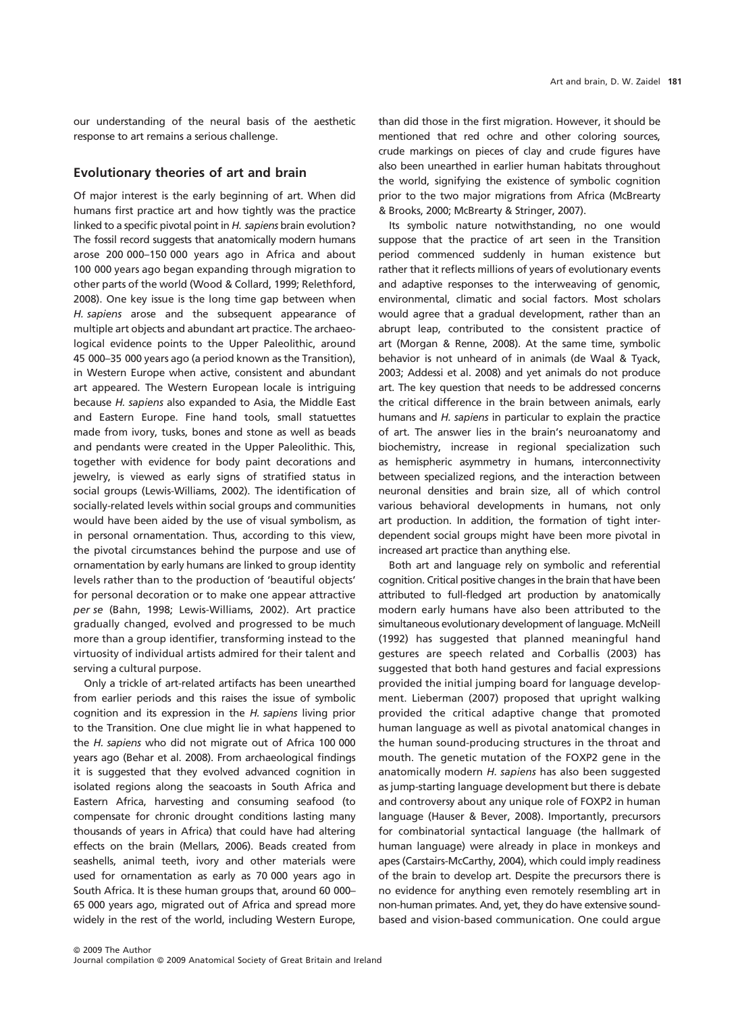our understanding of the neural basis of the aesthetic response to art remains a serious challenge.

## Evolutionary theories of art and brain

Of major interest is the early beginning of art. When did humans first practice art and how tightly was the practice linked to a specific pivotal point in H. sapiens brain evolution? The fossil record suggests that anatomically modern humans arose 200 000–150 000 years ago in Africa and about 100 000 years ago began expanding through migration to other parts of the world (Wood & Collard, 1999; Relethford, 2008). One key issue is the long time gap between when H. sapiens arose and the subsequent appearance of multiple art objects and abundant art practice. The archaeological evidence points to the Upper Paleolithic, around 45 000–35 000 years ago (a period known as the Transition), in Western Europe when active, consistent and abundant art appeared. The Western European locale is intriguing because H. sapiens also expanded to Asia, the Middle East and Eastern Europe. Fine hand tools, small statuettes made from ivory, tusks, bones and stone as well as beads and pendants were created in the Upper Paleolithic. This, together with evidence for body paint decorations and jewelry, is viewed as early signs of stratified status in social groups (Lewis-Williams, 2002). The identification of socially-related levels within social groups and communities would have been aided by the use of visual symbolism, as in personal ornamentation. Thus, according to this view, the pivotal circumstances behind the purpose and use of ornamentation by early humans are linked to group identity levels rather than to the production of 'beautiful objects' for personal decoration or to make one appear attractive per se (Bahn, 1998; Lewis-Williams, 2002). Art practice gradually changed, evolved and progressed to be much more than a group identifier, transforming instead to the virtuosity of individual artists admired for their talent and serving a cultural purpose.

Only a trickle of art-related artifacts has been unearthed from earlier periods and this raises the issue of symbolic cognition and its expression in the H. sapiens living prior to the Transition. One clue might lie in what happened to the H. sapiens who did not migrate out of Africa 100 000 years ago (Behar et al. 2008). From archaeological findings it is suggested that they evolved advanced cognition in isolated regions along the seacoasts in South Africa and Eastern Africa, harvesting and consuming seafood (to compensate for chronic drought conditions lasting many thousands of years in Africa) that could have had altering effects on the brain (Mellars, 2006). Beads created from seashells, animal teeth, ivory and other materials were used for ornamentation as early as 70 000 years ago in South Africa. It is these human groups that, around 60 000– 65 000 years ago, migrated out of Africa and spread more widely in the rest of the world, including Western Europe,

than did those in the first migration. However, it should be mentioned that red ochre and other coloring sources, crude markings on pieces of clay and crude figures have also been unearthed in earlier human habitats throughout the world, signifying the existence of symbolic cognition prior to the two major migrations from Africa (McBrearty & Brooks, 2000; McBrearty & Stringer, 2007).

Its symbolic nature notwithstanding, no one would suppose that the practice of art seen in the Transition period commenced suddenly in human existence but rather that it reflects millions of years of evolutionary events and adaptive responses to the interweaving of genomic, environmental, climatic and social factors. Most scholars would agree that a gradual development, rather than an abrupt leap, contributed to the consistent practice of art (Morgan & Renne, 2008). At the same time, symbolic behavior is not unheard of in animals (de Waal & Tyack, 2003; Addessi et al. 2008) and yet animals do not produce art. The key question that needs to be addressed concerns the critical difference in the brain between animals, early humans and H. sapiens in particular to explain the practice of art. The answer lies in the brain's neuroanatomy and biochemistry, increase in regional specialization such as hemispheric asymmetry in humans, interconnectivity between specialized regions, and the interaction between neuronal densities and brain size, all of which control various behavioral developments in humans, not only art production. In addition, the formation of tight interdependent social groups might have been more pivotal in increased art practice than anything else.

Both art and language rely on symbolic and referential cognition. Critical positive changes in the brain that have been attributed to full-fledged art production by anatomically modern early humans have also been attributed to the simultaneous evolutionary development of language. McNeill (1992) has suggested that planned meaningful hand gestures are speech related and Corballis (2003) has suggested that both hand gestures and facial expressions provided the initial jumping board for language development. Lieberman (2007) proposed that upright walking provided the critical adaptive change that promoted human language as well as pivotal anatomical changes in the human sound-producing structures in the throat and mouth. The genetic mutation of the FOXP2 gene in the anatomically modern H. sapiens has also been suggested as jump-starting language development but there is debate and controversy about any unique role of FOXP2 in human language (Hauser & Bever, 2008). Importantly, precursors for combinatorial syntactical language (the hallmark of human language) were already in place in monkeys and apes (Carstairs-McCarthy, 2004), which could imply readiness of the brain to develop art. Despite the precursors there is no evidence for anything even remotely resembling art in non-human primates. And, yet, they do have extensive soundbased and vision-based communication. One could argue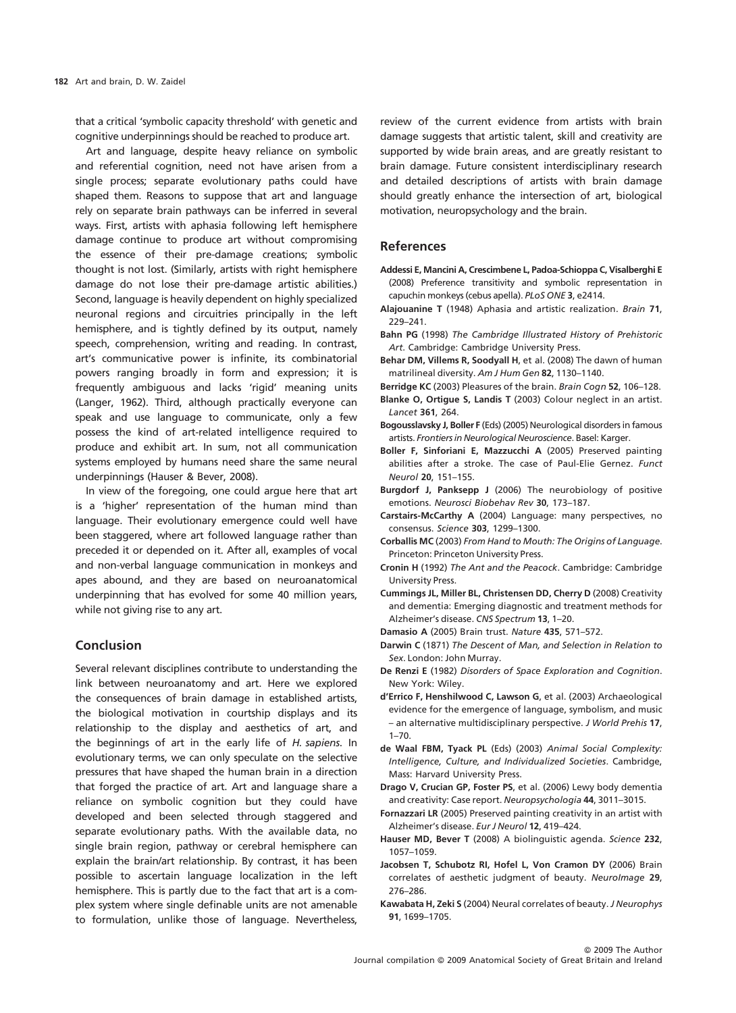that a critical 'symbolic capacity threshold' with genetic and cognitive underpinnings should be reached to produce art.

Art and language, despite heavy reliance on symbolic and referential cognition, need not have arisen from a single process; separate evolutionary paths could have shaped them. Reasons to suppose that art and language rely on separate brain pathways can be inferred in several ways. First, artists with aphasia following left hemisphere damage continue to produce art without compromising the essence of their pre-damage creations; symbolic thought is not lost. (Similarly, artists with right hemisphere damage do not lose their pre-damage artistic abilities.) Second, language is heavily dependent on highly specialized neuronal regions and circuitries principally in the left hemisphere, and is tightly defined by its output, namely speech, comprehension, writing and reading. In contrast, art's communicative power is infinite, its combinatorial powers ranging broadly in form and expression; it is frequently ambiguous and lacks 'rigid' meaning units (Langer, 1962). Third, although practically everyone can speak and use language to communicate, only a few possess the kind of art-related intelligence required to produce and exhibit art. In sum, not all communication systems employed by humans need share the same neural underpinnings (Hauser & Bever, 2008).

In view of the foregoing, one could argue here that art is a 'higher' representation of the human mind than language. Their evolutionary emergence could well have been staggered, where art followed language rather than preceded it or depended on it. After all, examples of vocal and non-verbal language communication in monkeys and apes abound, and they are based on neuroanatomical underpinning that has evolved for some 40 million years, while not giving rise to any art.

## Conclusion

Several relevant disciplines contribute to understanding the link between neuroanatomy and art. Here we explored the consequences of brain damage in established artists, the biological motivation in courtship displays and its relationship to the display and aesthetics of art, and the beginnings of art in the early life of H. sapiens. In evolutionary terms, we can only speculate on the selective pressures that have shaped the human brain in a direction that forged the practice of art. Art and language share a reliance on symbolic cognition but they could have developed and been selected through staggered and separate evolutionary paths. With the available data, no single brain region, pathway or cerebral hemisphere can explain the brain/art relationship. By contrast, it has been possible to ascertain language localization in the left hemisphere. This is partly due to the fact that art is a complex system where single definable units are not amenable to formulation, unlike those of language. Nevertheless,

review of the current evidence from artists with brain damage suggests that artistic talent, skill and creativity are supported by wide brain areas, and are greatly resistant to brain damage. Future consistent interdisciplinary research and detailed descriptions of artists with brain damage should greatly enhance the intersection of art, biological motivation, neuropsychology and the brain.

#### References

- Addessi E, Mancini A, Crescimbene L, Padoa-Schioppa C, Visalberghi E (2008) Preference transitivity and symbolic representation in capuchin monkeys (cebus apella). PLoS ONE 3, e2414.
- Alajouanine T (1948) Aphasia and artistic realization. Brain 71, 229–241.
- Bahn PG (1998) The Cambridge Illustrated History of Prehistoric Art. Cambridge: Cambridge University Press.
- Behar DM, Villems R, Soodyall H, et al. (2008) The dawn of human matrilineal diversity. Am J Hum Gen 82, 1130–1140.
- Berridge KC (2003) Pleasures of the brain. Brain Cogn 52, 106-128.
- Blanke O, Ortigue S, Landis T (2003) Colour neglect in an artist. Lancet 361, 264.
- Bogousslavsky J, Boller F (Eds) (2005) Neurological disorders in famous artists. Frontiers in Neurological Neuroscience. Basel: Karger.
- Boller F, Sinforiani E, Mazzucchi A (2005) Preserved painting abilities after a stroke. The case of Paul-Elie Gernez. Funct Neurol 20, 151–155.
- Burgdorf J, Panksepp J (2006) The neurobiology of positive emotions. Neurosci Biobehav Rev 30, 173–187.
- Carstairs-McCarthy A (2004) Language: many perspectives, no consensus. Science 303, 1299–1300.
- Corballis MC (2003) From Hand to Mouth: The Origins of Language. Princeton: Princeton University Press.
- Cronin H (1992) The Ant and the Peacock. Cambridge: Cambridge University Press.
- Cummings JL, Miller BL, Christensen DD, Cherry D (2008) Creativity and dementia: Emerging diagnostic and treatment methods for Alzheimer's disease. CNS Spectrum 13, 1–20.
- Damasio A (2005) Brain trust. Nature 435, 571–572.
- Darwin C (1871) The Descent of Man, and Selection in Relation to Sex. London: John Murray.
- De Renzi E (1982) Disorders of Space Exploration and Cognition. New York: Wiley.
- d'Errico F, Henshilwood C, Lawson G, et al. (2003) Archaeological evidence for the emergence of language, symbolism, and music – an alternative multidisciplinary perspective. J World Prehis 17, 1–70.
- de Waal FBM, Tyack PL (Eds) (2003) Animal Social Complexity: Intelligence, Culture, and Individualized Societies. Cambridge, Mass: Harvard University Press.
- Drago V, Crucian GP, Foster PS, et al. (2006) Lewy body dementia and creativity: Case report. Neuropsychologia 44, 3011–3015.
- Fornazzari LR (2005) Preserved painting creativity in an artist with Alzheimer's disease. Eur J Neurol 12, 419–424.
- Hauser MD, Bever T (2008) A biolinguistic agenda. Science 232, 1057–1059.
- Jacobsen T, Schubotz RI, Hofel L, Von Cramon DY (2006) Brain correlates of aesthetic judgment of beauty. NeuroImage 29, 276–286.
- Kawabata H, Zeki S (2004) Neural correlates of beauty. J Neurophys 91, 1699–1705.